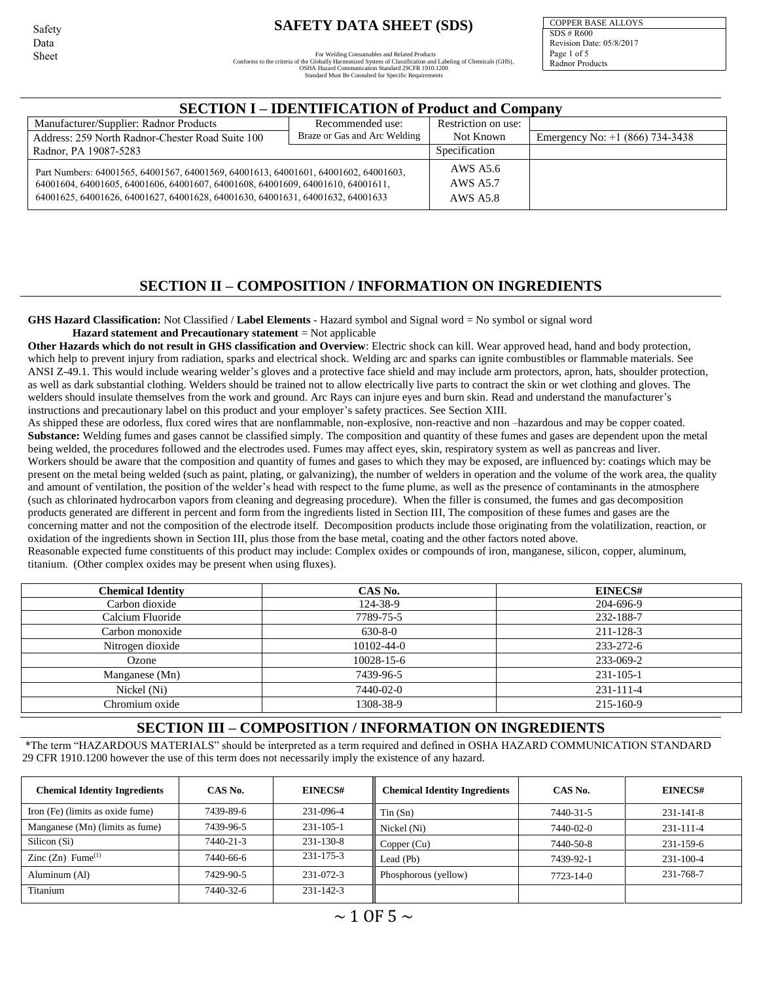Safety Data Sheet

# **SAFETY DATA SHEET (SDS)**

For Welding Consumables and Related Products<br>Conforms to the criteria of the Globally Harmonized System of Classification and Labeling of Chemicals (GHS),<br>OSHA Hazard Communication Standard 29CFR 1910.1200<br>Standard Must Be

COPPER BASE ALLOYS SDS # R600 Revision Date: 05/8/2017 Page 1 of 5 Radnor Products

| <b>SECTION I – IDENTIFICATION of Product and Company</b>                                                                                                                                                                                                 |                                  |           |                                   |  |  |  |  |  |  |  |
|----------------------------------------------------------------------------------------------------------------------------------------------------------------------------------------------------------------------------------------------------------|----------------------------------|-----------|-----------------------------------|--|--|--|--|--|--|--|
| Manufacturer/Supplier: Radnor Products                                                                                                                                                                                                                   | Restriction on use:              |           |                                   |  |  |  |  |  |  |  |
| Address: 259 North Radnor-Chester Road Suite 100                                                                                                                                                                                                         | Braze or Gas and Arc Welding     | Not Known | Emergency No: $+1$ (866) 734-3438 |  |  |  |  |  |  |  |
| Radnor, PA 19087-5283                                                                                                                                                                                                                                    | Specification                    |           |                                   |  |  |  |  |  |  |  |
| Part Numbers: 64001565, 64001567, 64001569, 64001613, 64001601, 64001602, 64001603,<br>64001604, 64001605, 64001606, 64001607, 64001608, 64001609, 64001610, 64001611,<br>64001625, 64001626, 64001627, 64001628, 64001630, 64001631, 64001632, 64001633 | AWS A5.6<br>AWS A5.7<br>AWS A5.8 |           |                                   |  |  |  |  |  |  |  |

## **SECTION II – COMPOSITION / INFORMATION ON INGREDIENTS**

**GHS Hazard Classification:** Not Classified / **Label Elements** - Hazard symbol and Signal word = No symbol or signal word **Hazard statement and Precautionary statement** = Not applicable

**Other Hazards which do not result in GHS classification and Overview**: Electric shock can kill. Wear approved head, hand and body protection, which help to prevent injury from radiation, sparks and electrical shock. Welding arc and sparks can ignite combustibles or flammable materials. See ANSI Z-49.1. This would include wearing welder's gloves and a protective face shield and may include arm protectors, apron, hats, shoulder protection, as well as dark substantial clothing. Welders should be trained not to allow electrically live parts to contract the skin or wet clothing and gloves. The welders should insulate themselves from the work and ground. Arc Rays can injure eyes and burn skin. Read and understand the manufacturer's instructions and precautionary label on this product and your employer's safety practices. See Section XIII.

As shipped these are odorless, flux cored wires that are nonflammable, non-explosive, non-reactive and non –hazardous and may be copper coated. Substance: Welding fumes and gases cannot be classified simply. The composition and quantity of these fumes and gases are dependent upon the metal being welded, the procedures followed and the electrodes used. Fumes may affect eyes, skin, respiratory system as well as pancreas and liver. Workers should be aware that the composition and quantity of fumes and gases to which they may be exposed, are influenced by: coatings which may be present on the metal being welded (such as paint, plating, or galvanizing), the number of welders in operation and the volume of the work area, the quality and amount of ventilation, the position of the welder's head with respect to the fume plume, as well as the presence of contaminants in the atmosphere (such as chlorinated hydrocarbon vapors from cleaning and degreasing procedure). When the filler is consumed, the fumes and gas decomposition products generated are different in percent and form from the ingredients listed in Section III, The composition of these fumes and gases are the concerning matter and not the composition of the electrode itself. Decomposition products include those originating from the volatilization, reaction, or oxidation of the ingredients shown in Section III, plus those from the base metal, coating and the other factors noted above.

Reasonable expected fume constituents of this product may include: Complex oxides or compounds of iron, manganese, silicon, copper, aluminum, titanium. (Other complex oxides may be present when using fluxes).

| <b>Chemical Identity</b> | CAS No.          | EINECS#         |
|--------------------------|------------------|-----------------|
| Carbon dioxide           | 124-38-9         | 204-696-9       |
| Calcium Fluoride         | 7789-75-5        | 232-188-7       |
| Carbon monoxide          | $630 - 8 - 0$    | 211-128-3       |
| Nitrogen dioxide         | 10102-44-0       | 233-272-6       |
| Ozone                    | $10028 - 15 - 6$ | 233-069-2       |
| Manganese (Mn)           | 7439-96-5        | $231 - 105 - 1$ |
| Nickel (Ni)              | 7440-02-0        | 231-111-4       |
| Chromium oxide           | 1308-38-9        | 215-160-9       |

## **SECTION III – COMPOSITION / INFORMATION ON INGREDIENTS**

\*The term "HAZARDOUS MATERIALS" should be interpreted as a term required and defined in OSHA HAZARD COMMUNICATION STANDARD 29 CFR 1910.1200 however the use of this term does not necessarily imply the existence of any hazard.

| <b>Chemical Identity Ingredients</b> | CAS No.   | <b>EINECS#</b>  | <b>Chemical Identity Ingredients</b> | CAS No.   | EINECS#         |
|--------------------------------------|-----------|-----------------|--------------------------------------|-----------|-----------------|
| Iron (Fe) (limits as oxide fume)     | 7439-89-6 | 231-096-4       | Tin(Sn)                              | 7440-31-5 | $231 - 141 - 8$ |
| Manganese (Mn) (limits as fume)      | 7439-96-5 | $231 - 105 - 1$ | Nickel (Ni)                          | 7440-02-0 | 231-111-4       |
| Silicon (Si)                         | 7440-21-3 | $231 - 130 - 8$ | Copper $(Cu)$                        | 7440-50-8 | 231-159-6       |
| Zinc $(Zn)$ Fume <sup>(1)</sup>      | 7440-66-6 | $231 - 175 - 3$ | Lead (Pb)                            | 7439-92-1 | 231-100-4       |
| Aluminum (Al)                        | 7429-90-5 | $231 - 072 - 3$ | Phosphorous (yellow)                 | 7723-14-0 | 231-768-7       |
| Titanium                             | 7440-32-6 | $231 - 142 - 3$ |                                      |           |                 |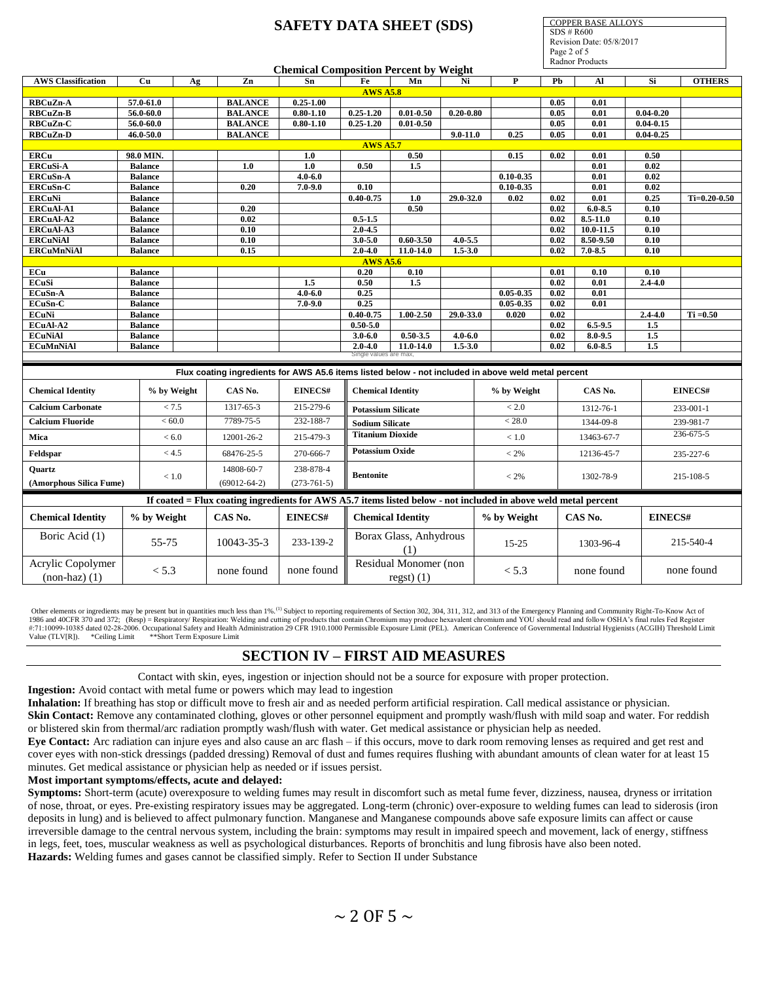COPPER BASE ALLOYS SDS # R600 Revision Date: 05/8/2017 Page 2 of 5

|                                      |                |             |                                                                                                                 | <b>Chemical Composition Percent by Weight</b> |                           |                                            |               |               |      | <b>Radnor Products</b> |                   |                |
|--------------------------------------|----------------|-------------|-----------------------------------------------------------------------------------------------------------------|-----------------------------------------------|---------------------------|--------------------------------------------|---------------|---------------|------|------------------------|-------------------|----------------|
|                                      |                |             |                                                                                                                 | Sn.                                           |                           | Mn                                         | Ni            | $\mathbf{P}$  | Pb   |                        | Si                |                |
| <b>AWS Classification</b>            | Cu             | Ag          | $\mathbf{Zn}$                                                                                                   |                                               | Fe<br><b>AWS A5.8</b>     |                                            |               |               |      | Al                     |                   | <b>OTHERS</b>  |
| <b>RBCuZn-A</b>                      | 57.0-61.0      |             | <b>BALANCE</b>                                                                                                  | $0.25 - 1.00$                                 |                           |                                            |               |               | 0.05 | 0.01                   |                   |                |
| RBCuZn-B                             | 56.0-60.0      |             | <b>BALANCE</b>                                                                                                  | $0.80 - 1.10$                                 | $0.25 - 1.20$             | $0.01 - 0.50$                              | $0.20 - 0.80$ |               | 0.05 | 0.01                   | $0.04 - 0.20$     |                |
| RBCuZn-C                             | $56.0 - 60.0$  |             | <b>BALANCE</b>                                                                                                  | $0.80 - 1.10$                                 | $0.25 - 1.20$             | $0.01 - 0.50$                              |               |               | 0.05 | 0.01                   | $0.04 - 0.15$     |                |
| RBCuZn-D                             | 46.0-50.0      |             | <b>BALANCE</b>                                                                                                  |                                               |                           |                                            | $9.0 - 11.0$  | 0.25          | 0.05 | 0.01                   | $0.04 - 0.25$     |                |
|                                      |                |             |                                                                                                                 |                                               | <b>AWS A5.7</b>           |                                            |               |               |      |                        |                   |                |
| <b>ERCu</b>                          | 98.0 MIN.      |             |                                                                                                                 | 1.0                                           |                           | 0.50                                       |               | 0.15          | 0.02 | 0.01                   | 0.50              |                |
| ERCuSi-A                             | <b>Balance</b> |             | 1.0                                                                                                             | 1.0                                           | 0.50                      | 1.5                                        |               |               |      | $\overline{0.01}$      | $\overline{0.02}$ |                |
| <b>ERCuSn-A</b>                      | <b>Balance</b> |             |                                                                                                                 | $4.0 - 6.0$                                   |                           |                                            |               | $0.10 - 0.35$ |      | 0.01                   | 0.02              |                |
| ERCuSn-C                             | <b>Balance</b> |             | 0.20                                                                                                            | $7.0 - 9.0$                                   | 0.10                      |                                            |               | $0.10 - 0.35$ |      | 0.01                   | $\overline{0.02}$ |                |
| <b>ERCuNi</b>                        | <b>Balance</b> |             |                                                                                                                 |                                               | $0.40 - 0.75$             | 1.0                                        | 29.0-32.0     | 0.02          | 0.02 | 0.01                   | 0.25              | $Ti=0.20-0.50$ |
| <b>ERCuAl-A1</b>                     | <b>Balance</b> |             | 0.20                                                                                                            |                                               |                           | 0.50                                       |               |               | 0.02 | $6.0 - 8.5$            | 0.10              |                |
| ERCuAl-A2                            | <b>Balance</b> |             | 0.02                                                                                                            |                                               | $0.5 - 1.5$               |                                            |               |               | 0.02 | $8.5 - 11.0$           | 0.10              |                |
| <b>ERCuAl-A3</b>                     | <b>Balance</b> |             | 0.10                                                                                                            |                                               | $2.0 - 4.5$               |                                            |               |               | 0.02 | 10.0-11.5              | 0.10              |                |
| <b>ERCuNiAl</b>                      | <b>Balance</b> |             | 0.10                                                                                                            |                                               | $3.0 - 5.0$               | $0.60 - 3.50$                              | $4.0 - 5.5$   |               | 0.02 | 8.50-9.50              | 0.10              |                |
| <b>ERCuMnNiAl</b>                    | <b>Balance</b> |             | 0.15                                                                                                            |                                               | $2.0 - 4.0$               | $11.0 - 14.0$                              | $1.5 - 3.0$   |               | 0.02 | $7.0 - 8.5$            | 0.10              |                |
|                                      |                |             |                                                                                                                 |                                               | <b>AWS A5.6</b>           |                                            |               |               |      |                        |                   |                |
| ECu                                  | <b>Balance</b> |             |                                                                                                                 |                                               | 0.20                      | 0.10                                       |               |               | 0.01 | 0.10                   | 0.10              |                |
| ECuSi                                | <b>Balance</b> |             |                                                                                                                 | 1.5                                           | 0.50                      | 1.5                                        |               |               | 0.02 | 0.01                   | $2.4 - 4.0$       |                |
| ECuSn-A                              | <b>Balance</b> |             |                                                                                                                 | $4.0 - 6.0$                                   | 0.25                      |                                            |               | $0.05 - 0.35$ | 0.02 | 0.01                   |                   |                |
| ECuSn-C                              | <b>Balance</b> |             |                                                                                                                 | $7.0 - 9.0$                                   | 0.25                      |                                            |               | $0.05 - 0.35$ | 0.02 | 0.01                   |                   |                |
| <b>ECuNi</b>                         | <b>Balance</b> |             |                                                                                                                 |                                               | $0.40 - 0.75$             | $1.00 - 2.50$                              | $29.0 - 33.0$ | 0.020         | 0.02 |                        | $2.4 - 4.0$       | $Ti = 0.50$    |
| ECuAl-A2                             | <b>Balance</b> |             |                                                                                                                 |                                               | $0.50 - 5.0$              |                                            |               |               | 0.02 | $6.5 - 9.5$            | 1.5               |                |
| <b>ECuNiAl</b>                       | <b>Balance</b> |             |                                                                                                                 |                                               | $3.0 - 6.0$               | $0.50 - 3.5$                               | $4.0 - 6.0$   |               | 0.02 | 8.0-9.5                | 1.5               |                |
| <b>ECuMnNiAl</b>                     | <b>Balance</b> |             |                                                                                                                 |                                               | $2.0 - 4.0$               | $11.0 - 14.0$                              | $1.5 - 3.0$   |               | 0.02 | $6.0 - 8.5$            | 1.5               |                |
|                                      |                |             |                                                                                                                 |                                               | Single values are max.    |                                            |               |               |      |                        |                   |                |
|                                      |                |             |                                                                                                                 |                                               |                           |                                            |               |               |      |                        |                   |                |
|                                      |                |             | Flux coating ingredients for AWS A5.6 items listed below - not included in above weld metal percent             |                                               |                           |                                            |               |               |      |                        |                   |                |
| <b>Chemical Identity</b>             |                | % by Weight | CAS No.                                                                                                         | EINECS#                                       | <b>Chemical Identity</b>  |                                            |               | % by Weight   |      | CAS No.                |                   | EINECS#        |
| <b>Calcium Carbonate</b>             |                | < 7.5       | 1317-65-3                                                                                                       | 215-279-6                                     | <b>Potassium Silicate</b> |                                            |               | < 2.0         |      | 1312-76-1              |                   | 233-001-1      |
| <b>Calcium Fluoride</b>              |                | <60.0       | 7789-75-5                                                                                                       | 232-188-7                                     | <b>Sodium Silicate</b>    |                                            |               | < 28.0        |      | 1344-09-8              |                   | 239-981-7      |
| Mica                                 |                | < 6.0       | 12001-26-2                                                                                                      | 215-479-3                                     | <b>Titanium Dioxide</b>   |                                            |               | < 1.0         |      | 13463-67-7             |                   | 236-675-5      |
| Feldspar                             |                | < 4.5       | 68476-25-5                                                                                                      | 270-666-7                                     | <b>Potassium Oxide</b>    |                                            |               | $< 2\%$       |      | 12136-45-7             |                   | 235-227-6      |
|                                      |                |             |                                                                                                                 |                                               |                           |                                            |               |               |      |                        |                   |                |
| Quartz                               |                | < 1.0       | 14808-60-7                                                                                                      | 238-878-4                                     | <b>Bentonite</b>          |                                            |               | $< 2\%$       |      | 1302-78-9              |                   | 215-108-5      |
| (Amorphous Silica Fume)              |                |             | $(69012 - 64 - 2)$                                                                                              | $(273-761-5)$                                 |                           |                                            |               |               |      |                        |                   |                |
|                                      |                |             | If coated = Flux coating ingredients for AWS A5.7 items listed below - not included in above weld metal percent |                                               |                           |                                            |               |               |      |                        |                   |                |
| <b>Chemical Identity</b>             | % by Weight    |             | CAS No.                                                                                                         | EINECS#                                       |                           | <b>Chemical Identity</b>                   |               | % by Weight   |      | CAS No.                |                   | <b>EINECS#</b> |
| Boric Acid (1)                       | 55-75          |             | 10043-35-3                                                                                                      | 233-139-2                                     |                           | Borax Glass, Anhydrous<br>(1)              |               | $15 - 25$     |      | 1303-96-4              |                   | 215-540-4      |
| Acrylic Copolymer<br>$(non-haz)$ (1) | < 5.3          |             | none found                                                                                                      | none found                                    |                           | Residual Monomer (non<br>$\text{regst}(1)$ |               | < 5.3         |      | none found             |                   | none found     |

Other elements or ingredients may be present but in quantities much less than 1%.<sup>(1)</sup> Subject to reporting requirements of Section 302, 304, 311, 312, and 313 of the Emergency Planning and Community Right-To-Know Act of 1986 and 40CFR 370 and 372; (Resp) = Respiratory/ Respiration: Welding and cutting of products that contain Chromium may produce hexavalent chromium and YOU should read and follow OSHA's final rules Fed Register #:71:10099-10385 dated 02-28-2006. Occupational Safety and Health Administration 29 CFR 1910.1000 Permissible Exposure Limit (PEL). American Conference of Governmental Industrial Hygienists (ACGIH) Threshold Limit Value (TLV[R]). \*Ceiling Limit \*\*Short Term Exposure Limit

# **SECTION IV – FIRST AID MEASURES**

Contact with skin, eyes, ingestion or injection should not be a source for exposure with proper protection.

**Ingestion:** Avoid contact with metal fume or powers which may lead to ingestion

**Inhalation:** If breathing has stop or difficult move to fresh air and as needed perform artificial respiration. Call medical assistance or physician. Skin Contact: Remove any contaminated clothing, gloves or other personnel equipment and promptly wash/flush with mild soap and water. For reddish or blistered skin from thermal/arc radiation promptly wash/flush with water. Get medical assistance or physician help as needed.

**Eye Contact:** Arc radiation can injure eyes and also cause an arc flash – if this occurs, move to dark room removing lenses as required and get rest and cover eyes with non-stick dressings (padded dressing) Removal of dust and fumes requires flushing with abundant amounts of clean water for at least 15 minutes. Get medical assistance or physician help as needed or if issues persist.

### **Most important symptoms/effects, acute and delayed:**

**Symptoms:** Short-term (acute) overexposure to welding fumes may result in discomfort such as metal fume fever, dizziness, nausea, dryness or irritation of nose, throat, or eyes. Pre-existing respiratory issues may be aggregated. Long-term (chronic) over-exposure to welding fumes can lead to siderosis (iron deposits in lung) and is believed to affect pulmonary function. Manganese and Manganese compounds above safe exposure limits can affect or cause irreversible damage to the central nervous system, including the brain: symptoms may result in impaired speech and movement, lack of energy, stiffness in legs, feet, toes, muscular weakness as well as psychological disturbances. Reports of bronchitis and lung fibrosis have also been noted. **Hazards:** Welding fumes and gases cannot be classified simply. Refer to Section II under Substance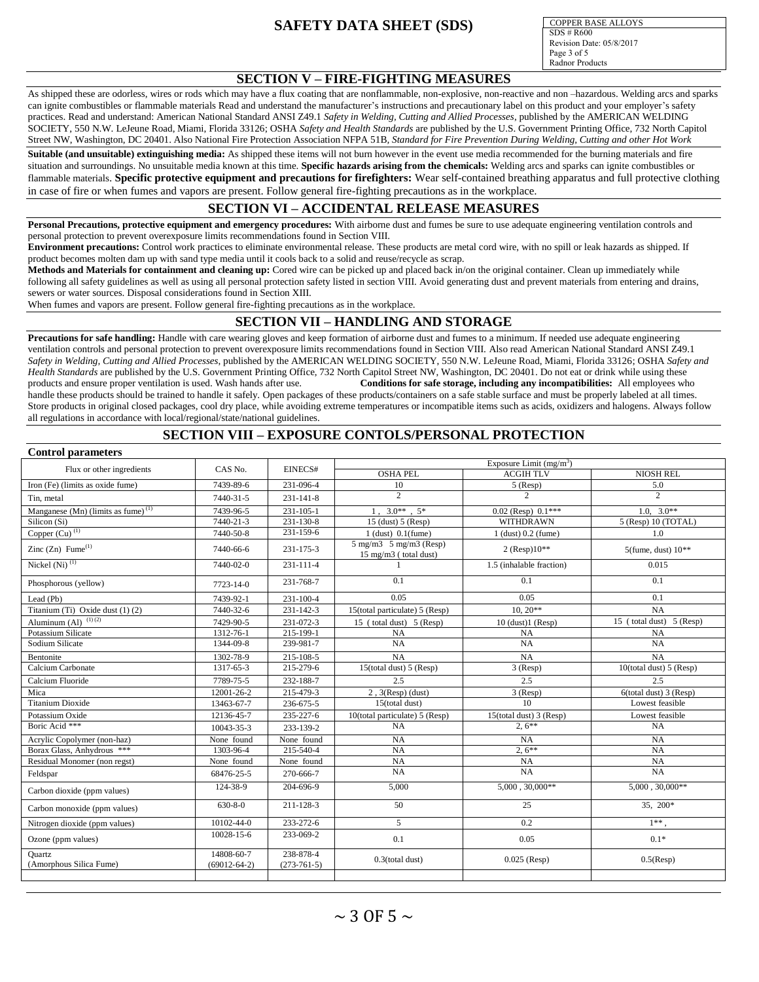COPPER BASE ALLOYS SDS # R600 Revision Date: 05/8/2017 Page 3 of 5 Radnor Products

### **SECTION V – FIRE-FIGHTING MEASURES**

As shipped these are odorless, wires or rods which may have a flux coating that are nonflammable, non-explosive, non-reactive and non-hazardous. Welding arcs and sparks can ignite combustibles or flammable materials Read and understand the manufacturer's instructions and precautionary label on this product and your employer's safety practices. Read and understand: American National Standard ANSI Z49.1 *Safety in Welding, Cutting and Allied Processes*, published by the AMERICAN WELDING SOCIETY, 550 N.W. LeJeune Road, Miami, Florida 33126; OSHA *Safety and Health Standards* are published by the U.S. Government Printing Office, 732 North Capitol Street NW, Washington, DC 20401. Also National Fire Protection Association NFPA 51B*, Standard for Fire Prevention During Welding, Cutting and other Hot Work*

**Suitable (and unsuitable) extinguishing media:** As shipped these items will not burn however in the event use media recommended for the burning materials and fire situation and surroundings. No unsuitable media known at this time. **Specific hazards arising from the chemicals:** Welding arcs and sparks can ignite combustibles or flammable materials. **Specific protective equipment and precautions for firefighters:** Wear self-contained breathing apparatus and full protective clothing in case of fire or when fumes and vapors are present. Follow general fire-fighting precautions as in the workplace.

### **SECTION VI – ACCIDENTAL RELEASE MEASURES**

**Personal Precautions, protective equipment and emergency procedures:** With airborne dust and fumes be sure to use adequate engineering ventilation controls and personal protection to prevent overexposure limits recommendations found in Section VIII.

**Environment precautions:** Control work practices to eliminate environmental release. These products are metal cord wire, with no spill or leak hazards as shipped. If product becomes molten dam up with sand type media until it cools back to a solid and reuse/recycle as scrap.

**Methods and Materials for containment and cleaning up:** Cored wire can be picked up and placed back in/on the original container. Clean up immediately while following all safety guidelines as well as using all personal protection safety listed in section VIII. Avoid generating dust and prevent materials from entering and drains, sewers or water sources. Disposal considerations found in Section XIII.

When fumes and vapors are present. Follow general fire-fighting precautions as in the workplace.

### **SECTION VII – HANDLING AND STORAGE**

**Precautions for safe handling:** Handle with care wearing gloves and keep formation of airborne dust and fumes to a minimum. If needed use adequate engineering ventilation controls and personal protection to prevent overexposure limits recommendations found in Section VIII. Also read American National Standard ANSI Z49.1 *Safety in Welding, Cutting and Allied Processes*, published by the AMERICAN WELDING SOCIETY, 550 N.W. LeJeune Road, Miami, Florida 33126; OSHA *Safety and Health Standards* are published by the U.S. Government Printing Office, 732 North Capitol Street NW, Washington, DC 20401. Do not eat or drink while using these products and ensure proper ventilation is used. Wash hands after use. **Conditions for safe storage, including any incompatibilities:** All employees who handle these products should be trained to handle it safely. Open packages of these products/containers on a safe stable surface and must be properly labeled at all times. Store products in original closed packages, cool dry place, while avoiding extreme temperatures or incompatible items such as acids, oxidizers and halogens. Always follow all regulations in accordance with local/regional/state/national guidelines.

### **SECTION VIII – EXPOSURE CONTOLS/PERSONAL PROTECTION**

| <b>Control parameters</b>                      |                                  |                 |                                                                              |                          |                             |  |  |  |
|------------------------------------------------|----------------------------------|-----------------|------------------------------------------------------------------------------|--------------------------|-----------------------------|--|--|--|
| Flux or other ingredients                      | CAS No.                          | EINECS#         | Exposure Limit $(mg/m3)$                                                     |                          |                             |  |  |  |
|                                                |                                  |                 | <b>OSHA PEL</b>                                                              | <b>ACGIHTLV</b>          | <b>NIOSH REL</b>            |  |  |  |
| Iron (Fe) (limits as oxide fume)               | 7439-89-6                        | 231-096-4       | 10                                                                           | $5$ (Resp)               | 5.0                         |  |  |  |
| Tin. metal                                     | 7440-31-5                        | $231 - 141 - 8$ | $\overline{c}$                                                               | 2                        | 2                           |  |  |  |
| Manganese (Mn) (limits as fume) <sup>(1)</sup> | 7439-96-5                        | $231 - 105 - 1$ | $1, 3.0**$ , $5*$                                                            | $0.02$ (Resp) $0.1***$   | $1.0.30**$                  |  |  |  |
| Silicon (Si)                                   | 7440-21-3                        | 231-130-8       | $15$ (dust) $5$ (Resp)                                                       | WITHDRAWN                | 5 (Resp) 10 (TOTAL)         |  |  |  |
| Copper $\overline{\text{C}u}$ <sup>(1)</sup>   | 7440-50-8                        | 231-159-6       | $1$ (dust) $0.1$ (fume)                                                      | $1$ (dust) $0.2$ (fume)  | 1.0                         |  |  |  |
| Zinc $(Zn)$ Fume <sup>(1)</sup>                | 7440-66-6                        | 231-175-3       | $5 \text{ mg/m}$ $3 \text{ g/m}$ $3 \text{ (Resp)}$<br>15 mg/m3 (total dust) | $2 (Resp)10**$           | $5$ (fume, dust) $10**$     |  |  |  |
| Nickel $(Ni)$ <sup>(1)</sup>                   | 7440-02-0                        | $231 - 111 - 4$ |                                                                              | 1.5 (inhalable fraction) | 0.015                       |  |  |  |
| Phosphorous (yellow)                           | 7723-14-0                        | 231-768-7       | 0.1                                                                          | 0.1                      | 0.1                         |  |  |  |
| Lead (Pb)                                      | 7439-92-1                        | 231-100-4       | 0.05                                                                         | 0.05                     | 0.1                         |  |  |  |
| Titanium (Ti) Oxide dust (1) (2)               | 7440-32-6                        | $231 - 142 - 3$ | 15(total particulate) 5 (Resp)                                               | $10, 20**$               | NA                          |  |  |  |
| Aluminum $(A1)^{(1)(2)}$                       | 7429-90-5                        | 231-072-3       | 15 (total dust) 5 (Resp)                                                     | $10$ (dust) $1$ (Resp)   | 15 (total dust) 5 (Resp)    |  |  |  |
| Potassium Silicate                             | 1312-76-1                        | 215-199-1       | NA                                                                           | <b>NA</b>                | <b>NA</b>                   |  |  |  |
| Sodium Silicate                                | 1344-09-8                        | 239-981-7       | NA                                                                           | NA                       | NA                          |  |  |  |
| Bentonite                                      | 1302-78-9                        | 215-108-5       | <b>NA</b>                                                                    | <b>NA</b>                | <b>NA</b>                   |  |  |  |
| Calcium Carbonate                              | 1317-65-3                        | 215-279-6       | 15(total dust) 5 (Resp)                                                      | $3$ (Resp)               | 10(total dust) $5$ (Resp)   |  |  |  |
| Calcium Fluoride                               | 7789-75-5                        | 232-188-7       | 2.5                                                                          | 2.5                      | 2.5                         |  |  |  |
| Mica                                           | 12001-26-2                       | 215-479-3       | $2, 3$ (Resp) (dust)                                                         | 3 (Resp)                 | $6$ (total dust) $3$ (Resp) |  |  |  |
| <b>Titanium Dioxide</b>                        | 13463-67-7                       | 236-675-5       | 15(total dust)                                                               | 10                       | Lowest feasible             |  |  |  |
| Potassium Oxide                                | 12136-45-7                       | 235-227-6       | $10$ (total particulate) 5 (Resp)                                            | 15(total dust) 3 (Resp)  | Lowest feasible             |  |  |  |
| Boric Acid ***                                 | 10043-35-3                       | 233-139-2       | NA                                                                           | $2.6***$                 | NA                          |  |  |  |
| Acrylic Copolymer (non-haz)                    | None found                       | None found      | <b>NA</b>                                                                    | <b>NA</b>                | NA                          |  |  |  |
| Borax Glass, Anhydrous ***                     | 1303-96-4                        | 215-540-4       | NA                                                                           | $2.6***$                 | NA                          |  |  |  |
| Residual Monomer (non regst)                   | None found                       | None found      | NA                                                                           | <b>NA</b>                | NA                          |  |  |  |
| Feldspar                                       | 68476-25-5                       | 270-666-7       | NA                                                                           | NA                       | NA                          |  |  |  |
| Carbon dioxide (ppm values)                    | 124-38-9                         | 204-696-9       | 5,000                                                                        | $5,000, 30,000**$        | $5,000, 30,000**$           |  |  |  |
| Carbon monoxide (ppm values)                   | $630 - 8 - 0$                    | 211-128-3       | 50                                                                           | 25                       | 35, 200*                    |  |  |  |
| Nitrogen dioxide (ppm values)                  | 10102-44-0                       | 233-272-6       | 5                                                                            | 0.2                      | $1**$ .                     |  |  |  |
| Ozone (ppm values)                             | 10028-15-6                       | 233-069-2       | 0.1                                                                          | 0.05                     | $0.1*$                      |  |  |  |
| <b>Quartz</b><br>(Amorphous Silica Fume)       | 14808-60-7<br>$(69012 - 64 - 2)$ |                 | $0.3$ (total dust)                                                           | $0.025$ (Resp)           | $0.5$ (Resp)                |  |  |  |
|                                                |                                  | $(273-761-5)$   |                                                                              |                          |                             |  |  |  |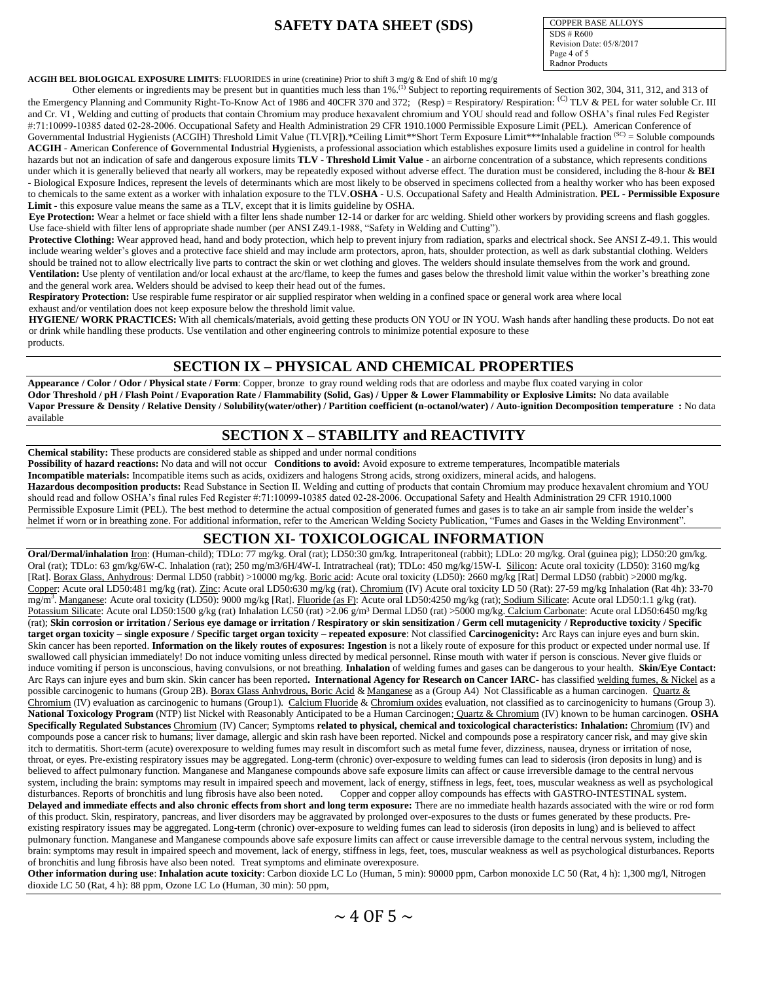COPPER BASE ALLOYS  $SDS \# R600$ Revision Date: 05/8/2017 Page 4 of 5 Radnor Products

**ACGIH BEL BIOLOGICAL EXPOSURE LIMITS:** FLUORIDES in urine (creatinine) Prior to shift 3 mg/g & End of shift 10 mg/g<br>Other elements or ingredients may be present but in quantities much less than 1%.<sup>(1)</sup> Subject to report the Emergency Planning and Community Right-To-Know Act of 1986 and 40CFR 370 and 372; (Resp) = Respiratory/ Respiration: <sup>(C)</sup> TLV & PEL for water soluble Cr. III and Cr. VI , Welding and cutting of products that contain Chromium may produce hexavalent chromium and YOU should read and follow OSHA's final rules Fed Register #:71:10099-10385 dated 02-28-2006. Occupational Safety and Health Administration 29 CFR 1910.1000 Permissible Exposure Limit (PEL). American Conference of Governmental Industrial Hygienists (ACGIH) Threshold Limit Value (TLV[R]).\*Ceiling Limit\*\*Short Term Exposure Limit\*\*\*Inhalable fraction (SC) = Soluble compounds **ACGIH** - **A**merican **C**onference of **G**overnmental **I**ndustrial **H**ygienists, a professional association which establishes exposure limits used a guideline in control for health hazards but not an indication of safe and dangerous exposure limits TLV - Threshold Limit Value - an airborne concentration of a substance, which represents conditions under which it is generally believed that nearly all workers, may be repeatedly exposed without adverse effect. The duration must be considered, including the 8-hour & **BEI**  - Biological Exposure Indices, represent the levels of determinants which are most likely to be observed in specimens collected from a healthy worker who has been exposed to chemicals to the same extent as a worker with inhalation exposure to the TLV.**OSHA** - U.S. Occupational Safety and Health Administration. **PEL - Permissible Exposure Limit** - this exposure value means the same as a TLV, except that it is limits guideline by OSHA.

**Eye Protection:** Wear a helmet or face shield with a filter lens shade number 12-14 or darker for arc welding. Shield other workers by providing screens and flash goggles. Use face-shield with filter lens of appropriate shade number (per ANSI Z49.1-1988, "Safety in Welding and Cutting").

**Protective Clothing:** Wear approved head, hand and body protection, which help to prevent injury from radiation, sparks and electrical shock. See ANSI Z-49.1. This would include wearing welder's gloves and a protective face shield and may include arm protectors, apron, hats, shoulder protection, as well as dark substantial clothing. Welders should be trained not to allow electrically live parts to contract the skin or wet clothing and gloves. The welders should insulate themselves from the work and ground. Ventilation: Use plenty of ventilation and/or local exhaust at the arc/flame, to keep the fumes and gases below the threshold limit value within the worker's breathing zone and the general work area. Welders should be advised to keep their head out of the fumes.

**Respiratory Protection:** Use respirable fume respirator or air supplied respirator when welding in a confined space or general work area where local exhaust and/or ventilation does not keep exposure below the threshold limit value.

**HYGIENE/ WORK PRACTICES:** With all chemicals/materials, avoid getting these products ON YOU or IN YOU. Wash hands after handling these products. Do not eat or drink while handling these products. Use ventilation and other engineering controls to minimize potential exposure to these products.

### **SECTION IX – PHYSICAL AND CHEMICAL PROPERTIES**

**Appearance / Color / Odor / Physical state / Form**: Copper, bronze to gray round welding rods that are odorless and maybe flux coated varying in color **Odor Threshold / pH / Flash Point / Evaporation Rate / Flammability (Solid, Gas) / Upper & Lower Flammability or Explosive Limits:** No data available **Vapor Pressure & Density / Relative Density / Solubility(water/other) / Partition coefficient (n-octanol/water) / Auto-ignition Decomposition temperature :** No data available

### **SECTION X – STABILITY and REACTIVITY**

**Chemical stability:** These products are considered stable as shipped and under normal conditions

**Possibility of hazard reactions:** No data and will not occur **Conditions to avoid:** Avoid exposure to extreme temperatures, Incompatible materials

**Incompatible materials:** Incompatible items such as acids, oxidizers and halogens Strong acids, strong oxidizers, mineral acids, and halogens. **Hazardous decomposition products:** Read Substance in Section II. Welding and cutting of products that contain Chromium may produce hexavalent chromium and YOU should read and follow OSHA's final rules Fed Register #:71:10099-10385 dated 02-28-2006. Occupational Safety and Health Administration 29 CFR 1910.1000 Permissible Exposure Limit (PEL). The best method to determine the actual composition of generated fumes and gases is to take an air sample from inside the welder's helmet if worn or in breathing zone. For additional information, refer to the American Welding Society Publication, "Fumes and Gases in the Welding Environment".

## **SECTION XI- TOXICOLOGICAL INFORMATION**

**Oral/Dermal/inhalation** Iron: (Human-child); TDLo: 77 mg/kg. Oral (rat); LD50:30 gm/kg. Intraperitoneal (rabbit); LDLo: 20 mg/kg. Oral (guinea pig); LD50:20 gm/kg. Oral (rat); TDLo: 63 gm/kg/6W-C. Inhalation (rat); 250 mg/m3/6H/4W-I. Intratracheal (rat); TDLo: 450 mg/kg/15W-I. Silicon: Acute oral toxicity (LD50): 3160 mg/kg [Rat]. Borax Glass, Anhydrous: Dermal LD50 (rabbit) >10000 mg/kg. Boric acid: Acute oral toxicity (LD50): 2660 mg/kg [Rat] Dermal LD50 (rabbit) >2000 mg/kg. Copper: Acute oral LD50:481 mg/kg (rat). Zinc: Acute oral LD50:630 mg/kg (rat). Chromium (IV) Acute oral toxicity LD 50 (Rat): 27-59 mg/kg Inhalation (Rat 4h): 33-70 mg/m<sup>3</sup>. Manganese: Acute oral toxicity (LD50): 9000 mg/kg [Rat]. Fluoride (as F): Acute oral LD50:4250 mg/kg (rat); Sodium Silicate: Acute oral LD50:1.1 g/kg (rat). Potassium Silicate: Acute oral LD50:1500 g/kg (rat) Inhalation LC50 (rat) >2.06 g/m<sup>3</sup> Dermal LD50 (rat) >5000 mg/kg. Calcium Carbonate: Acute oral LD50:6450 mg/kg (rat); **Skin corrosion or irritation / Serious eye damage or irritation / Respiratory or skin sensitization / Germ cell mutagenicity / Reproductive toxicity / Specific target organ toxicity – single exposure / Specific target organ toxicity – repeated exposure**: Not classified **Carcinogenicity:** Arc Rays can injure eyes and burn skin. Skin cancer has been reported. **Information on the likely routes of exposures: Ingestion** is not a likely route of exposure for this product or expected under normal use. If swallowed call physician immediately! Do not induce vomiting unless directed by medical personnel. Rinse mouth with water if person is conscious. Never give fluids or induce vomiting if person is unconscious, having convulsions, or not breathing. **Inhalation** of welding fumes and gases can be dangerous to your health. **Skin/Eye Contact:** Arc Rays can injure eyes and burn skin. Skin cancer has been reported**. International Agency for Research on Cancer IARC**- has classified welding fumes, & Nickel as a possible carcinogenic to humans (Group 2B). Borax Glass Anhydrous, Boric Acid & Manganese as a (Group A4) Not Classificable as a human carcinogen. Quartz & Chromium (IV) evaluation as carcinogenic to humans (Group1). Calcium Fluoride & Chromium oxides evaluation, not classified as to carcinogenicity to humans (Group 3). **National Toxicology Program** (NTP) list Nickel with Reasonably Anticipated to be a Human Carcinogen; Quartz & Chromium (IV) known to be human carcinogen. **OSHA Specifically Regulated Substances** Chromium (IV) Cancer; Symptoms **related to physical, chemical and toxicological characteristics: Inhalation:** Chromium (IV) and compounds pose a cancer risk to humans; liver damage, allergic and skin rash have been reported. Nickel and compounds pose a respiratory cancer risk, and may give skin itch to dermatitis. Short-term (acute) overexposure to welding fumes may result in discomfort such as metal fume fever, dizziness, nausea, dryness or irritation of nose, throat, or eyes. Pre-existing respiratory issues may be aggregated. Long-term (chronic) over-exposure to welding fumes can lead to siderosis (iron deposits in lung) and is believed to affect pulmonary function. Manganese and Manganese compounds above safe exposure limits can affect or cause irreversible damage to the central nervous system, including the brain: symptoms may result in impaired speech and movement, lack of energy, stiffness in legs, feet, toes, muscular weakness as well as psychological disturbances. Reports of bronchitis and lung fibro Copper and copper alloy compounds has effects with GASTRO-INTESTINAL system. **Delayed and immediate effects and also chronic effects from short and long term exposure:** There are no immediate health hazards associated with the wire or rod form of this product. Skin, respiratory, pancreas, and liver disorders may be aggravated by prolonged over-exposures to the dusts or fumes generated by these products. Preexisting respiratory issues may be aggregated. Long-term (chronic) over-exposure to welding fumes can lead to siderosis (iron deposits in lung) and is believed to affect pulmonary function. Manganese and Manganese compounds above safe exposure limits can affect or cause irreversible damage to the central nervous system, including the brain: symptoms may result in impaired speech and movement, lack of energy, stiffness in legs, feet, toes, muscular weakness as well as psychological disturbances. Reports of bronchitis and lung fibrosis have also been noted. Treat symptoms and eliminate overexposure.

**Other information during use**: **Inhalation acute toxicity**: Carbon dioxide LC Lo (Human, 5 min): 90000 ppm, Carbon monoxide LC 50 (Rat, 4 h): 1,300 mg/l, Nitrogen dioxide LC 50 (Rat, 4 h): 88 ppm, Ozone LC Lo (Human, 30 min): 50 ppm,